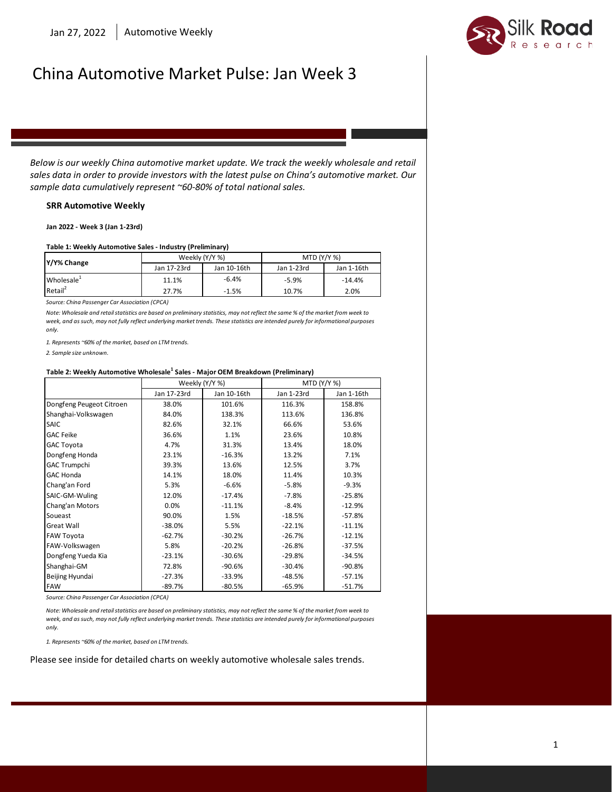

# China Automotive Market Pulse: Jan Week 3

 *Below is our weekly China automotive market update. We track the weekly wholesale and retail sales data in order to provide investors with the latest pulse on China's automotive market. Our sample data cumulatively represent ~60-80% of total national sales.*

#### **SRR Automotive Weekly**

**Jan 2022 - Week 3 (Jan 1-23rd)**

#### **Table 1: Weekly Automotive Sales - Industry (Preliminary)**

| Y/Y% Change            | Weekly (Y/Y %) |             | <b>MTD (Y/Y %)</b> |            |
|------------------------|----------------|-------------|--------------------|------------|
|                        | Jan 17-23rd    | Jan 10-16th | Jan 1-23rd         | Jan 1-16th |
| Wholesale <sup>+</sup> | 11.1%          | $-6.4%$     | $-5.9%$            | $-14.4%$   |
| Retail <sup>2</sup>    | 27.7%          | $-1.5%$     | 10.7%              | 2.0%       |

*Source: China Passenger Car Association (CPCA)*

*Note: Wholesale and retail statistics are based on preliminary statistics, may not reflect the same % of the market from week to week, and as such, may not fully reflect underlying market trends. These statistics are intended purely for informational purposes only.*

*1. Represents ~60% of the market, based on LTM trends.*

*2. Sample size unknown.*

#### **Table 2: Weekly Automotive Wholesale<sup>1</sup> Sales - Major OEM Breakdown (Preliminary)**

|                          | Weekly (Y/Y %) |             | MTD (Y/Y %) |            |
|--------------------------|----------------|-------------|-------------|------------|
|                          | Jan 17-23rd    | Jan 10-16th | Jan 1-23rd  | Jan 1-16th |
| Dongfeng Peugeot Citroen | 38.0%          | 101.6%      | 116.3%      | 158.8%     |
| Shanghai-Volkswagen      | 84.0%          | 138.3%      | 113.6%      | 136.8%     |
| <b>SAIC</b>              | 82.6%          | 32.1%       | 66.6%       | 53.6%      |
| <b>GAC Feike</b>         | 36.6%          | 1.1%        | 23.6%       | 10.8%      |
| <b>GAC Toyota</b>        | 4.7%           | 31.3%       | 13.4%       | 18.0%      |
| Dongfeng Honda           | 23.1%          | $-16.3%$    | 13.2%       | 7.1%       |
| <b>GAC Trumpchi</b>      | 39.3%          | 13.6%       | 12.5%       | 3.7%       |
| <b>GAC Honda</b>         | 14.1%          | 18.0%       | 11.4%       | 10.3%      |
| Chang'an Ford            | 5.3%           | $-6.6%$     | $-5.8%$     | $-9.3%$    |
| SAIC-GM-Wuling           | 12.0%          | $-17.4%$    | $-7.8%$     | $-25.8%$   |
| Chang'an Motors          | 0.0%           | $-11.1%$    | $-8.4%$     | $-12.9%$   |
| Soueast                  | 90.0%          | 1.5%        | $-18.5%$    | $-57.8%$   |
| Great Wall               | $-38.0%$       | 5.5%        | $-22.1%$    | $-11.1%$   |
| FAW Toyota               | $-62.7%$       | $-30.2%$    | $-26.7%$    | $-12.1%$   |
| FAW-Volkswagen           | 5.8%           | $-20.2%$    | $-26.8%$    | $-37.5%$   |
| Dongfeng Yueda Kia       | $-23.1%$       | -30.6%      | $-29.8%$    | $-34.5%$   |
| Shanghai-GM              | 72.8%          | $-90.6%$    | $-30.4%$    | $-90.8%$   |
| Beijing Hyundai          | $-27.3%$       | $-33.9%$    | $-48.5%$    | $-57.1%$   |
| <b>FAW</b>               | $-89.7%$       | $-80.5%$    | $-65.9%$    | $-51.7%$   |

*Source: China Passenger Car Association (CPCA)*

*Note: Wholesale and retail statistics are based on preliminary statistics, may not reflect the same % of the market from week to week, and as such, may not fully reflect underlying market trends. These statistics are intended purely for informational purposes only.* 

*1. Represents ~60% of the market, based on LTM trends.*

Please see inside for detailed charts on weekly automotive wholesale sales trends.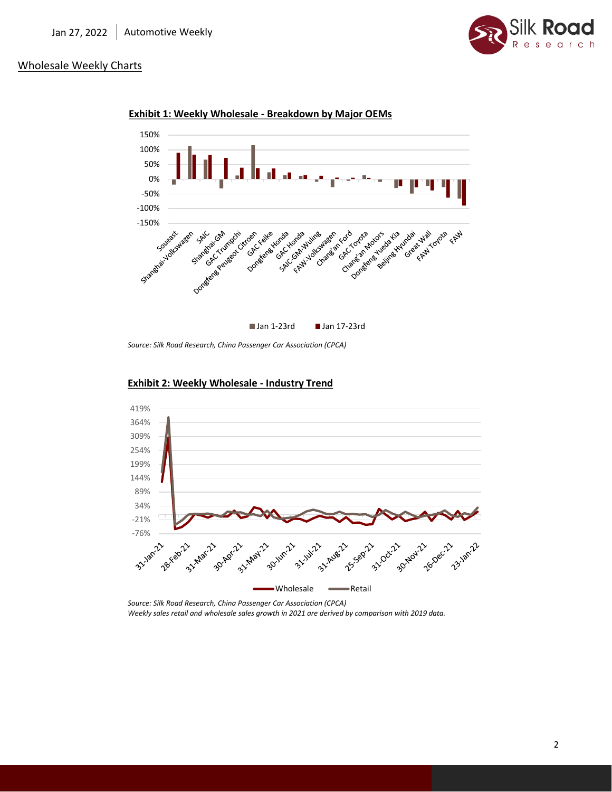

## Wholesale Weekly Charts





*Source: Silk Road Research, China Passenger Car Association (CPCA)* 



### **Exhibit 2: Weekly Wholesale - Industry Trend**

*Source: Silk Road Research, China Passenger Car Association (CPCA) Weekly sales retail and wholesale sales growth in 2021 are derived by comparison with 2019 data.*